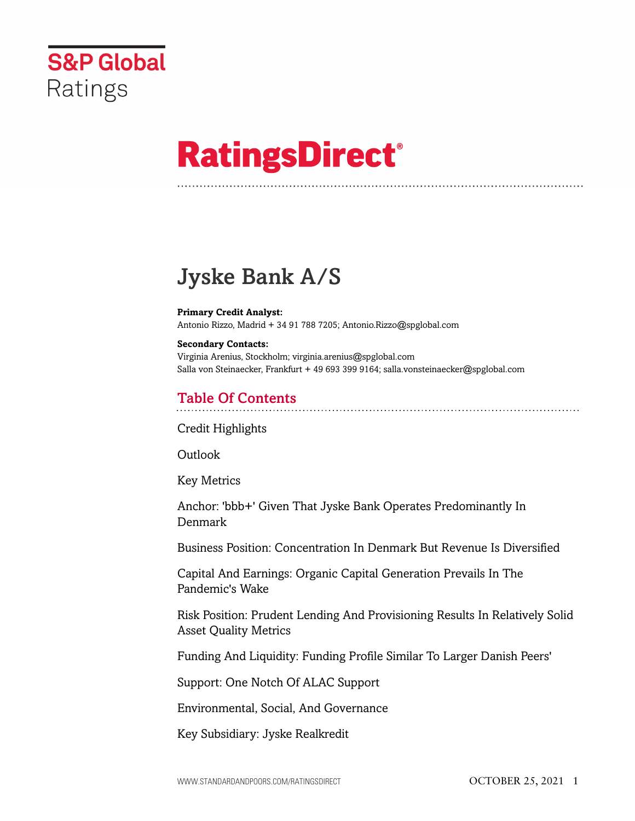

# **RatingsDirect®**

## Jyske Bank A/S

**Primary Credit Analyst:** Antonio Rizzo, Madrid + 34 91 788 7205; Antonio.Rizzo@spglobal.com

#### **Secondary Contacts:**

Virginia Arenius, Stockholm; virginia.arenius@spglobal.com Salla von Steinaecker, Frankfurt + 49 693 399 9164; salla.vonsteinaecker@spglobal.com

## Table Of Contents

[Credit Highlights](#page-2-0)

Outlook

[Key Metrics](#page-3-0)

[Anchor: 'bbb+' Given That Jyske Bank Operates Predominantly In](#page-3-1) [Denmark](#page-3-1)

[Business Position: Concentration In Denmark But Revenue Is Diversified](#page-4-0)

[Capital And Earnings: Organic Capital Generation Prevails In The](#page-6-0) [Pandemic's Wake](#page-6-0)

[Risk Position: Prudent Lending And Provisioning Results In Relatively Solid](#page-7-0) [Asset Quality Metrics](#page-7-0)

[Funding And Liquidity: Funding Profile Similar To Larger Danish Peers'](#page-8-0)

[Support: One Notch Of ALAC Support](#page-9-0)

[Environmental, Social, And Governance](#page-9-1)

[Key Subsidiary: Jyske Realkredit](#page-10-0)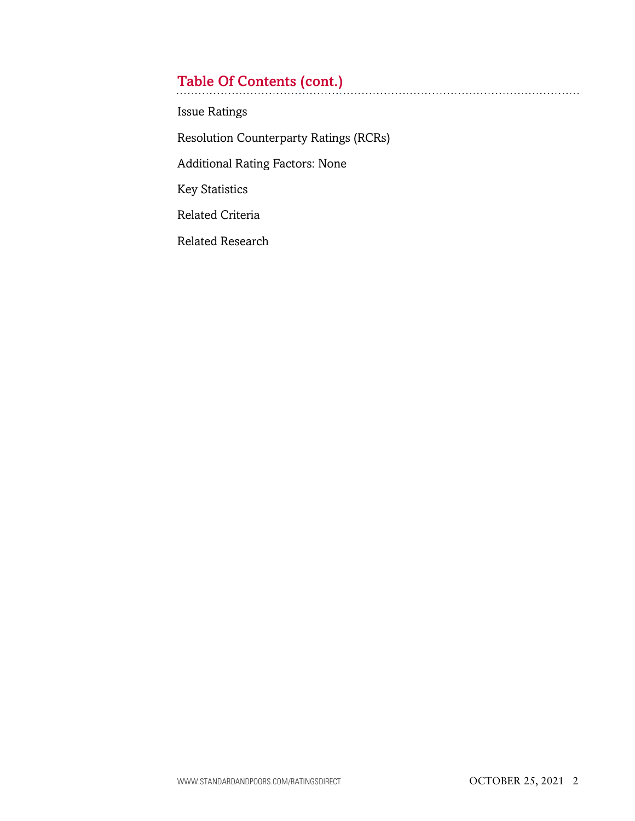## Table Of Contents (cont.)

[Issue Ratings](#page-10-1) [Resolution Counterparty Ratings \(RCRs\)](#page-10-2) [Additional Rating Factors: None](#page-11-0) [Key Statistics](#page-11-1) [Related Criteria](#page-13-0)

[Related Research](#page-14-0)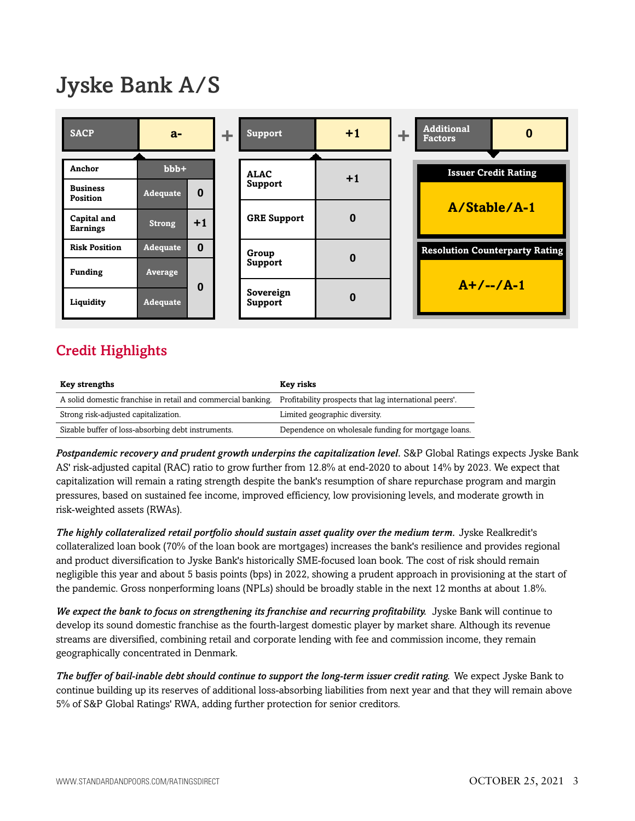## Jyske Bank A/S



## <span id="page-2-0"></span>Credit Highlights

| <b>Key strengths</b>                                                                                                | Key risks                                           |
|---------------------------------------------------------------------------------------------------------------------|-----------------------------------------------------|
| A solid domestic franchise in retail and commercial banking. Profitability prospects that lag international peers'. |                                                     |
| Strong risk-adjusted capitalization.                                                                                | Limited geographic diversity.                       |
| Sizable buffer of loss-absorbing debt instruments.                                                                  | Dependence on wholesale funding for mortgage loans. |

*Postpandemic recovery and prudent growth underpins the capitalization level.* S&P Global Ratings expects Jyske Bank AS' risk-adjusted capital (RAC) ratio to grow further from 12.8% at end-2020 to about 14% by 2023. We expect that capitalization will remain a rating strength despite the bank's resumption of share repurchase program and margin pressures, based on sustained fee income, improved efficiency, low provisioning levels, and moderate growth in risk-weighted assets (RWAs).

*The highly collateralized retail portfolio should sustain asset quality over the medium term.* Jyske Realkredit's collateralized loan book (70% of the loan book are mortgages) increases the bank's resilience and provides regional and product diversification to Jyske Bank's historically SME-focused loan book. The cost of risk should remain negligible this year and about 5 basis points (bps) in 2022, showing a prudent approach in provisioning at the start of the pandemic. Gross nonperforming loans (NPLs) should be broadly stable in the next 12 months at about 1.8%.

*We expect the bank to focus on strengthening its franchise and recurring profitability.* Jyske Bank will continue to develop its sound domestic franchise as the fourth-largest domestic player by market share. Although its revenue streams are diversified, combining retail and corporate lending with fee and commission income, they remain geographically concentrated in Denmark.

*The buffer of bail-inable debt should continue to support the long-term issuer credit rating.* We expect Jyske Bank to continue building up its reserves of additional loss-absorbing liabilities from next year and that they will remain above 5% of S&P Global Ratings' RWA, adding further protection for senior creditors.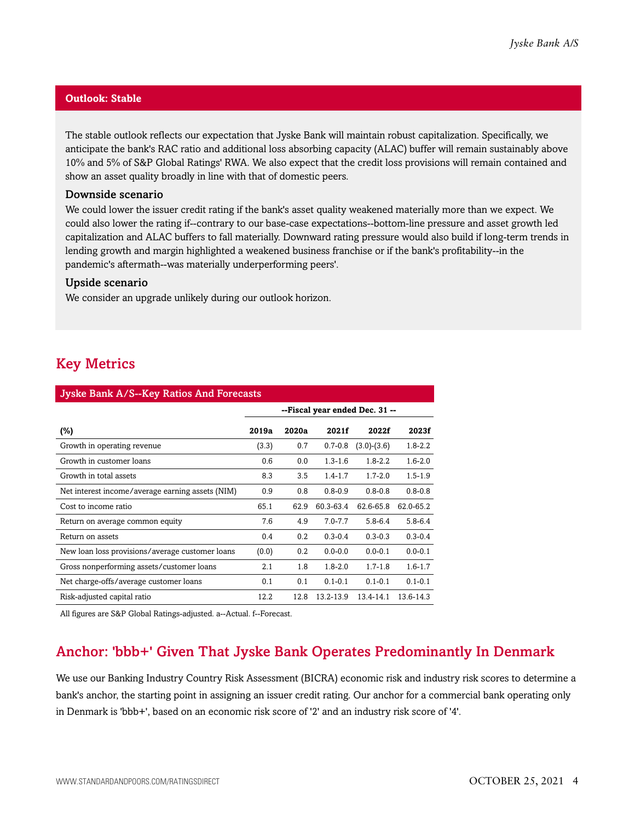### **Outlook: Stable**

The stable outlook reflects our expectation that Jyske Bank will maintain robust capitalization. Specifically, we anticipate the bank's RAC ratio and additional loss absorbing capacity (ALAC) buffer will remain sustainably above 10% and 5% of S&P Global Ratings' RWA. We also expect that the credit loss provisions will remain contained and show an asset quality broadly in line with that of domestic peers.

#### Downside scenario

We could lower the issuer credit rating if the bank's asset quality weakened materially more than we expect. We could also lower the rating if--contrary to our base-case expectations--bottom-line pressure and asset growth led capitalization and ALAC buffers to fall materially. Downward rating pressure would also build if long-term trends in lending growth and margin highlighted a weakened business franchise or if the bank's profitability--in the pandemic's aftermath--was materially underperforming peers'.

#### Upside scenario

We consider an upgrade unlikely during our outlook horizon.

## <span id="page-3-0"></span>Key Metrics

| <b>Jyske Bank A/S--Key Ratios And Forecasts</b>  |                                |       |             |               |             |  |  |  |  |
|--------------------------------------------------|--------------------------------|-------|-------------|---------------|-------------|--|--|--|--|
|                                                  | --Fiscal year ended Dec. 31 -- |       |             |               |             |  |  |  |  |
| (%)                                              | 2019a                          | 2020a | 2021f       | 2022f         | 2023f       |  |  |  |  |
| Growth in operating revenue                      | (3.3)                          | 0.7   | $0.7 - 0.8$ | $(3.0)-(3.6)$ | $1.8 - 2.2$ |  |  |  |  |
| Growth in customer loans                         | 0.6                            | 0.0   | $1.3 - 1.6$ | $1.8 - 2.2$   | $1.6 - 2.0$ |  |  |  |  |
| Growth in total assets                           | 8.3                            | 3.5   | $1.4 - 1.7$ | $1.7 - 2.0$   | $1.5 - 1.9$ |  |  |  |  |
| Net interest income/average earning assets (NIM) | 0.9                            | 0.8   | $0.8 - 0.9$ | $0.8 - 0.8$   | $0.8 - 0.8$ |  |  |  |  |
| Cost to income ratio                             | 65.1                           | 62.9  | 60.3-63.4   | 62.6-65.8     | 62.0-65.2   |  |  |  |  |
| Return on average common equity                  | 7.6                            | 4.9   | $7.0 - 7.7$ | $5.8 - 6.4$   | $5.8 - 6.4$ |  |  |  |  |
| Return on assets                                 | 0.4                            | 0.2   | $0.3 - 0.4$ | $0.3 - 0.3$   | $0.3 - 0.4$ |  |  |  |  |
| New loan loss provisions/average customer loans  | (0.0)                          | 0.2   | $0.0 - 0.0$ | $0.0 - 0.1$   | $0.0 - 0.1$ |  |  |  |  |
| Gross nonperforming assets/customer loans        | 2.1                            | 1.8   | $1.8 - 2.0$ | $1.7 - 1.8$   | $1.6 - 1.7$ |  |  |  |  |
| Net charge-offs/average customer loans           | 0.1                            | 0.1   | $0.1 - 0.1$ | $0.1 - 0.1$   | $0.1 - 0.1$ |  |  |  |  |
| Risk-adjusted capital ratio                      | 12.2                           | 12.8  | 13.2-13.9   | 13.4-14.1     | 13.6-14.3   |  |  |  |  |

<span id="page-3-1"></span>All figures are S&P Global Ratings-adjusted. a--Actual. f--Forecast.

## Anchor: 'bbb+' Given That Jyske Bank Operates Predominantly In Denmark

We use our Banking Industry Country Risk Assessment (BICRA) economic risk and industry risk scores to determine a bank's anchor, the starting point in assigning an issuer credit rating. Our anchor for a commercial bank operating only in Denmark is 'bbb+', based on an economic risk score of '2' and an industry risk score of '4'.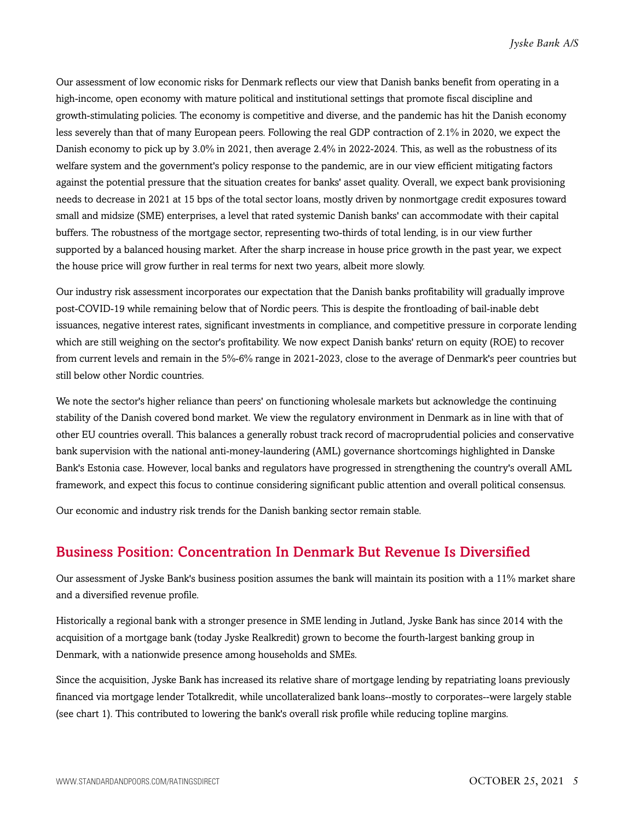Our assessment of low economic risks for Denmark reflects our view that Danish banks benefit from operating in a high-income, open economy with mature political and institutional settings that promote fiscal discipline and growth-stimulating policies. The economy is competitive and diverse, and the pandemic has hit the Danish economy less severely than that of many European peers. Following the real GDP contraction of 2.1% in 2020, we expect the Danish economy to pick up by 3.0% in 2021, then average 2.4% in 2022-2024. This, as well as the robustness of its welfare system and the government's policy response to the pandemic, are in our view efficient mitigating factors against the potential pressure that the situation creates for banks' asset quality. Overall, we expect bank provisioning needs to decrease in 2021 at 15 bps of the total sector loans, mostly driven by nonmortgage credit exposures toward small and midsize (SME) enterprises, a level that rated systemic Danish banks' can accommodate with their capital buffers. The robustness of the mortgage sector, representing two-thirds of total lending, is in our view further supported by a balanced housing market. After the sharp increase in house price growth in the past year, we expect the house price will grow further in real terms for next two years, albeit more slowly.

Our industry risk assessment incorporates our expectation that the Danish banks profitability will gradually improve post-COVID-19 while remaining below that of Nordic peers. This is despite the frontloading of bail-inable debt issuances, negative interest rates, significant investments in compliance, and competitive pressure in corporate lending which are still weighing on the sector's profitability. We now expect Danish banks' return on equity (ROE) to recover from current levels and remain in the 5%-6% range in 2021-2023, close to the average of Denmark's peer countries but still below other Nordic countries.

We note the sector's higher reliance than peers' on functioning wholesale markets but acknowledge the continuing stability of the Danish covered bond market. We view the regulatory environment in Denmark as in line with that of other EU countries overall. This balances a generally robust track record of macroprudential policies and conservative bank supervision with the national anti-money-laundering (AML) governance shortcomings highlighted in Danske Bank's Estonia case. However, local banks and regulators have progressed in strengthening the country's overall AML framework, and expect this focus to continue considering significant public attention and overall political consensus.

<span id="page-4-0"></span>Our economic and industry risk trends for the Danish banking sector remain stable.

## Business Position: Concentration In Denmark But Revenue Is Diversified

Our assessment of Jyske Bank's business position assumes the bank will maintain its position with a 11% market share and a diversified revenue profile.

Historically a regional bank with a stronger presence in SME lending in Jutland, Jyske Bank has since 2014 with the acquisition of a mortgage bank (today Jyske Realkredit) grown to become the fourth-largest banking group in Denmark, with a nationwide presence among households and SMEs.

Since the acquisition, Jyske Bank has increased its relative share of mortgage lending by repatriating loans previously financed via mortgage lender Totalkredit, while uncollateralized bank loans--mostly to corporates--were largely stable (see chart 1). This contributed to lowering the bank's overall risk profile while reducing topline margins.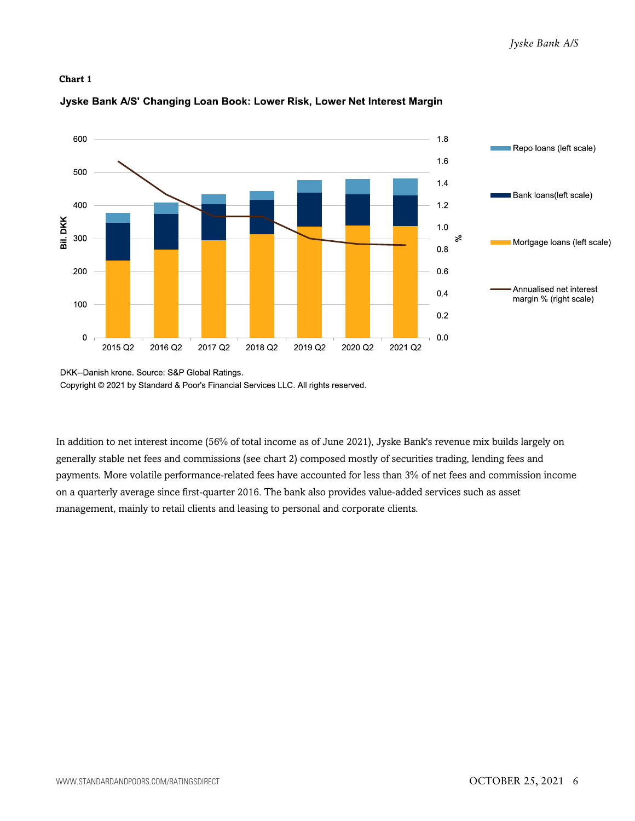#### **Chart 1**



### Jyske Bank A/S' Changing Loan Book: Lower Risk, Lower Net Interest Margin

DKK--Danish krone. Source: S&P Global Ratings. Copyright © 2021 by Standard & Poor's Financial Services LLC. All rights reserved.

In addition to net interest income (56% of total income as of June 2021), Jyske Bank's revenue mix builds largely on generally stable net fees and commissions (see chart 2) composed mostly of securities trading, lending fees and payments. More volatile performance-related fees have accounted for less than 3% of net fees and commission income on a quarterly average since first-quarter 2016. The bank also provides value-added services such as asset management, mainly to retail clients and leasing to personal and corporate clients.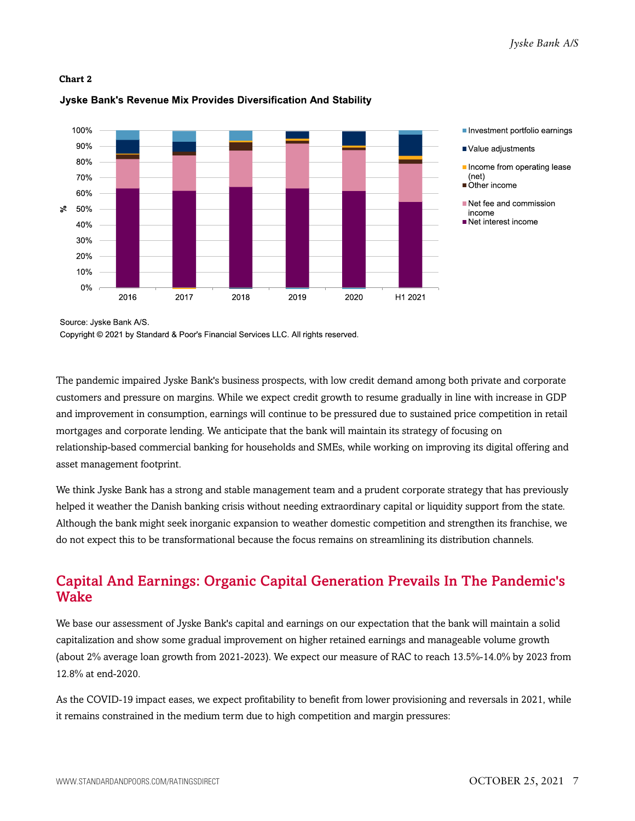



#### Jyske Bank's Revenue Mix Provides Diversification And Stability

Source: Jyske Bank A/S.

Copyright © 2021 by Standard & Poor's Financial Services LLC. All rights reserved.

The pandemic impaired Jyske Bank's business prospects, with low credit demand among both private and corporate customers and pressure on margins. While we expect credit growth to resume gradually in line with increase in GDP and improvement in consumption, earnings will continue to be pressured due to sustained price competition in retail mortgages and corporate lending. We anticipate that the bank will maintain its strategy of focusing on relationship-based commercial banking for households and SMEs, while working on improving its digital offering and asset management footprint.

We think Jyske Bank has a strong and stable management team and a prudent corporate strategy that has previously helped it weather the Danish banking crisis without needing extraordinary capital or liquidity support from the state. Although the bank might seek inorganic expansion to weather domestic competition and strengthen its franchise, we do not expect this to be transformational because the focus remains on streamlining its distribution channels.

## <span id="page-6-0"></span>Capital And Earnings: Organic Capital Generation Prevails In The Pandemic's Wake

We base our assessment of Jyske Bank's capital and earnings on our expectation that the bank will maintain a solid capitalization and show some gradual improvement on higher retained earnings and manageable volume growth (about 2% average loan growth from 2021-2023). We expect our measure of RAC to reach 13.5%-14.0% by 2023 from 12.8% at end-2020.

As the COVID-19 impact eases, we expect profitability to benefit from lower provisioning and reversals in 2021, while it remains constrained in the medium term due to high competition and margin pressures: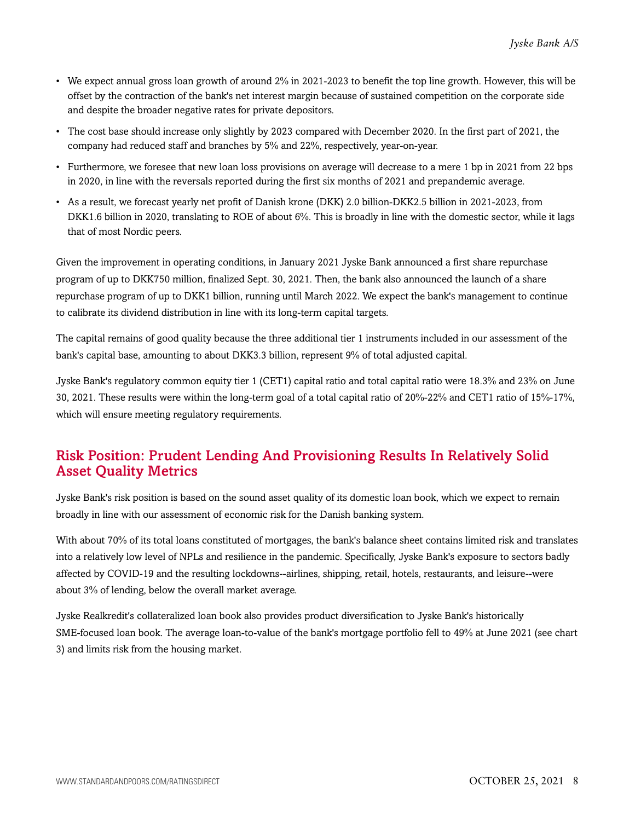- We expect annual gross loan growth of around 2% in 2021-2023 to benefit the top line growth. However, this will be offset by the contraction of the bank's net interest margin because of sustained competition on the corporate side and despite the broader negative rates for private depositors.
- The cost base should increase only slightly by 2023 compared with December 2020. In the first part of 2021, the company had reduced staff and branches by 5% and 22%, respectively, year-on-year.
- Furthermore, we foresee that new loan loss provisions on average will decrease to a mere 1 bp in 2021 from 22 bps in 2020, in line with the reversals reported during the first six months of 2021 and prepandemic average.
- As a result, we forecast yearly net profit of Danish krone (DKK) 2.0 billion-DKK2.5 billion in 2021-2023, from DKK1.6 billion in 2020, translating to ROE of about 6%. This is broadly in line with the domestic sector, while it lags that of most Nordic peers.

Given the improvement in operating conditions, in January 2021 Jyske Bank announced a first share repurchase program of up to DKK750 million, finalized Sept. 30, 2021. Then, the bank also announced the launch of a share repurchase program of up to DKK1 billion, running until March 2022. We expect the bank's management to continue to calibrate its dividend distribution in line with its long-term capital targets.

The capital remains of good quality because the three additional tier 1 instruments included in our assessment of the bank's capital base, amounting to about DKK3.3 billion, represent 9% of total adjusted capital.

Jyske Bank's regulatory common equity tier 1 (CET1) capital ratio and total capital ratio were 18.3% and 23% on June 30, 2021. These results were within the long-term goal of a total capital ratio of 20%-22% and CET1 ratio of 15%-17%, which will ensure meeting regulatory requirements.

## <span id="page-7-0"></span>Risk Position: Prudent Lending And Provisioning Results In Relatively Solid Asset Quality Metrics

Jyske Bank's risk position is based on the sound asset quality of its domestic loan book, which we expect to remain broadly in line with our assessment of economic risk for the Danish banking system.

With about 70% of its total loans constituted of mortgages, the bank's balance sheet contains limited risk and translates into a relatively low level of NPLs and resilience in the pandemic. Specifically, Jyske Bank's exposure to sectors badly affected by COVID-19 and the resulting lockdowns--airlines, shipping, retail, hotels, restaurants, and leisure--were about 3% of lending, below the overall market average.

Jyske Realkredit's collateralized loan book also provides product diversification to Jyske Bank's historically SME-focused loan book. The average loan-to-value of the bank's mortgage portfolio fell to 49% at June 2021 (see chart 3) and limits risk from the housing market.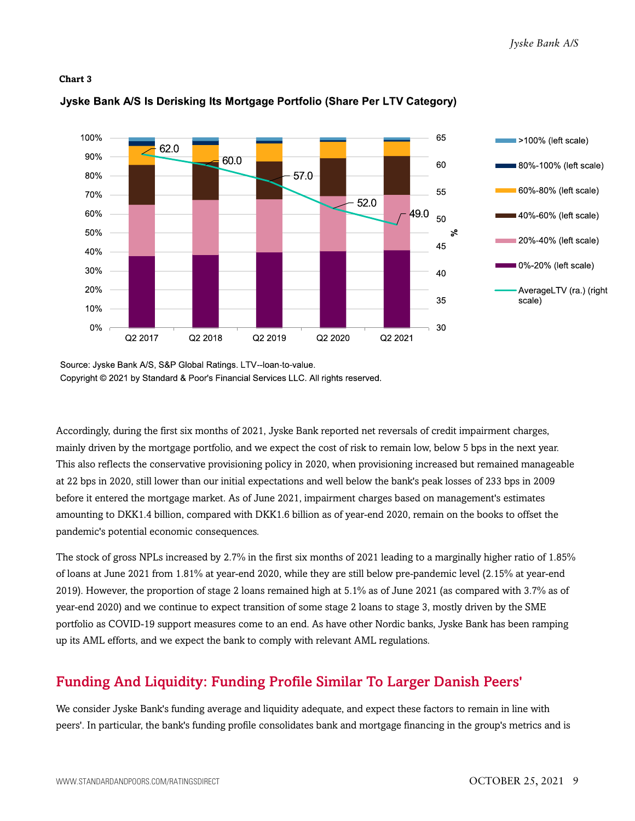#### **Chart 3**



### Jyske Bank A/S Is Derisking Its Mortgage Portfolio (Share Per LTV Category)

Source: Jyske Bank A/S, S&P Global Ratings. LTV--loan-to-value. Copyright © 2021 by Standard & Poor's Financial Services LLC. All rights reserved.

Accordingly, during the first six months of 2021, Jyske Bank reported net reversals of credit impairment charges, mainly driven by the mortgage portfolio, and we expect the cost of risk to remain low, below 5 bps in the next year. This also reflects the conservative provisioning policy in 2020, when provisioning increased but remained manageable at 22 bps in 2020, still lower than our initial expectations and well below the bank's peak losses of 233 bps in 2009 before it entered the mortgage market. As of June 2021, impairment charges based on management's estimates amounting to DKK1.4 billion, compared with DKK1.6 billion as of year-end 2020, remain on the books to offset the pandemic's potential economic consequences.

The stock of gross NPLs increased by 2.7% in the first six months of 2021 leading to a marginally higher ratio of 1.85% of loans at June 2021 from 1.81% at year-end 2020, while they are still below pre-pandemic level (2.15% at year-end 2019). However, the proportion of stage 2 loans remained high at 5.1% as of June 2021 (as compared with 3.7% as of year-end 2020) and we continue to expect transition of some stage 2 loans to stage 3, mostly driven by the SME portfolio as COVID-19 support measures come to an end. As have other Nordic banks, Jyske Bank has been ramping up its AML efforts, and we expect the bank to comply with relevant AML regulations.

## <span id="page-8-0"></span>Funding And Liquidity: Funding Profile Similar To Larger Danish Peers'

We consider Jyske Bank's funding average and liquidity adequate, and expect these factors to remain in line with peers'. In particular, the bank's funding profile consolidates bank and mortgage financing in the group's metrics and is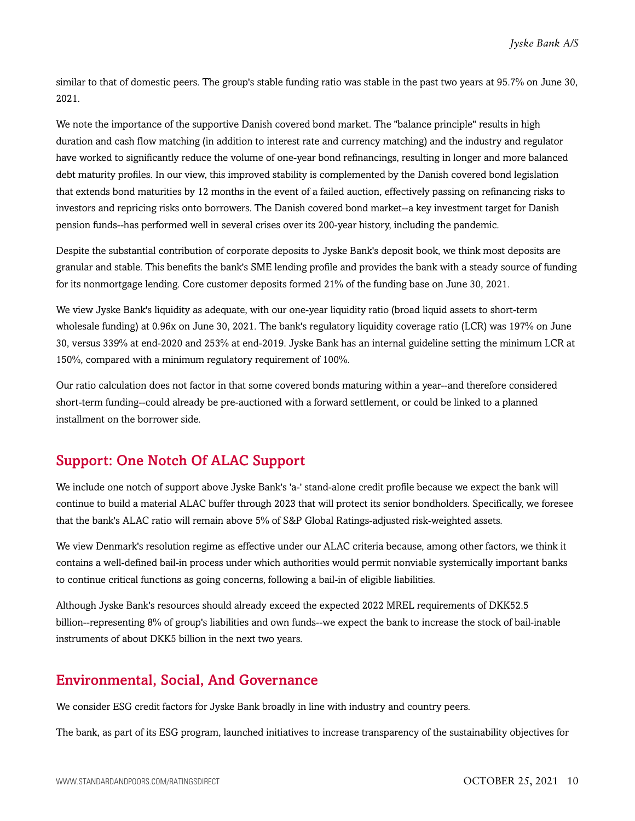similar to that of domestic peers. The group's stable funding ratio was stable in the past two years at 95.7% on June 30, 2021.

We note the importance of the supportive Danish covered bond market. The "balance principle" results in high duration and cash flow matching (in addition to interest rate and currency matching) and the industry and regulator have worked to significantly reduce the volume of one-year bond refinancings, resulting in longer and more balanced debt maturity profiles. In our view, this improved stability is complemented by the Danish covered bond legislation that extends bond maturities by 12 months in the event of a failed auction, effectively passing on refinancing risks to investors and repricing risks onto borrowers. The Danish covered bond market--a key investment target for Danish pension funds--has performed well in several crises over its 200-year history, including the pandemic.

Despite the substantial contribution of corporate deposits to Jyske Bank's deposit book, we think most deposits are granular and stable. This benefits the bank's SME lending profile and provides the bank with a steady source of funding for its nonmortgage lending. Core customer deposits formed 21% of the funding base on June 30, 2021.

We view Jyske Bank's liquidity as adequate, with our one-year liquidity ratio (broad liquid assets to short-term wholesale funding) at 0.96x on June 30, 2021. The bank's regulatory liquidity coverage ratio (LCR) was 197% on June 30, versus 339% at end-2020 and 253% at end-2019. Jyske Bank has an internal guideline setting the minimum LCR at 150%, compared with a minimum regulatory requirement of 100%.

Our ratio calculation does not factor in that some covered bonds maturing within a year--and therefore considered short-term funding--could already be pre-auctioned with a forward settlement, or could be linked to a planned installment on the borrower side.

## <span id="page-9-0"></span>Support: One Notch Of ALAC Support

We include one notch of support above Jyske Bank's 'a-' stand-alone credit profile because we expect the bank will continue to build a material ALAC buffer through 2023 that will protect its senior bondholders. Specifically, we foresee that the bank's ALAC ratio will remain above 5% of S&P Global Ratings-adjusted risk-weighted assets.

We view Denmark's resolution regime as effective under our ALAC criteria because, among other factors, we think it contains a well-defined bail-in process under which authorities would permit nonviable systemically important banks to continue critical functions as going concerns, following a bail-in of eligible liabilities.

Although Jyske Bank's resources should already exceed the expected 2022 MREL requirements of DKK52.5 billion--representing 8% of group's liabilities and own funds--we expect the bank to increase the stock of bail-inable instruments of about DKK5 billion in the next two years.

## <span id="page-9-1"></span>Environmental, Social, And Governance

We consider ESG credit factors for Jyske Bank broadly in line with industry and country peers.

The bank, as part of its ESG program, launched initiatives to increase transparency of the sustainability objectives for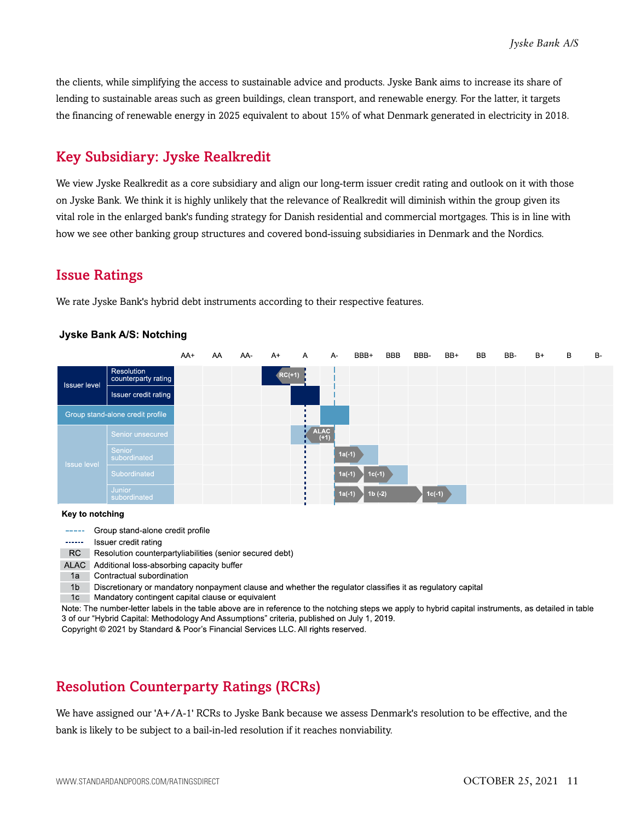the clients, while simplifying the access to sustainable advice and products. Jyske Bank aims to increase its share of lending to sustainable areas such as green buildings, clean transport, and renewable energy. For the latter, it targets the financing of renewable energy in 2025 equivalent to about 15% of what Denmark generated in electricity in 2018.

## <span id="page-10-0"></span>Key Subsidiary: Jyske Realkredit

We view Jyske Realkredit as a core subsidiary and align our long-term issuer credit rating and outlook on it with those on Jyske Bank. We think it is highly unlikely that the relevance of Realkredit will diminish within the group given its vital role in the enlarged bank's funding strategy for Danish residential and commercial mortgages. This is in line with how we see other banking group structures and covered bond-issuing subsidiaries in Denmark and the Nordics.

## <span id="page-10-1"></span>Issue Ratings

We rate Jyske Bank's hybrid debt instruments according to their respective features.



#### **Jyske Bank A/S: Notching**

Key to notching

Group stand-alone credit profile **September** 

Issuer credit rating 

RC Resolution counterpartyliabilities (senior secured debt)

ALAC Additional loss-absorbing capacity buffer

1a Contractual subordination

1b Discretionary or mandatory nonpayment clause and whether the regulator classifies it as regulatory capital

1c Mandatory contingent capital clause or equivalent

Note: The number-letter labels in the table above are in reference to the notching steps we apply to hybrid capital instruments, as detailed in table 3 of our "Hybrid Capital: Methodology And Assumptions" criteria, published on July 1, 2019.

Copyright © 2021 by Standard & Poor's Financial Services LLC. All rights reserved.

## <span id="page-10-2"></span>Resolution Counterparty Ratings (RCRs)

We have assigned our 'A+/A-1' RCRs to Jyske Bank because we assess Denmark's resolution to be effective, and the bank is likely to be subject to a bail-in-led resolution if it reaches nonviability.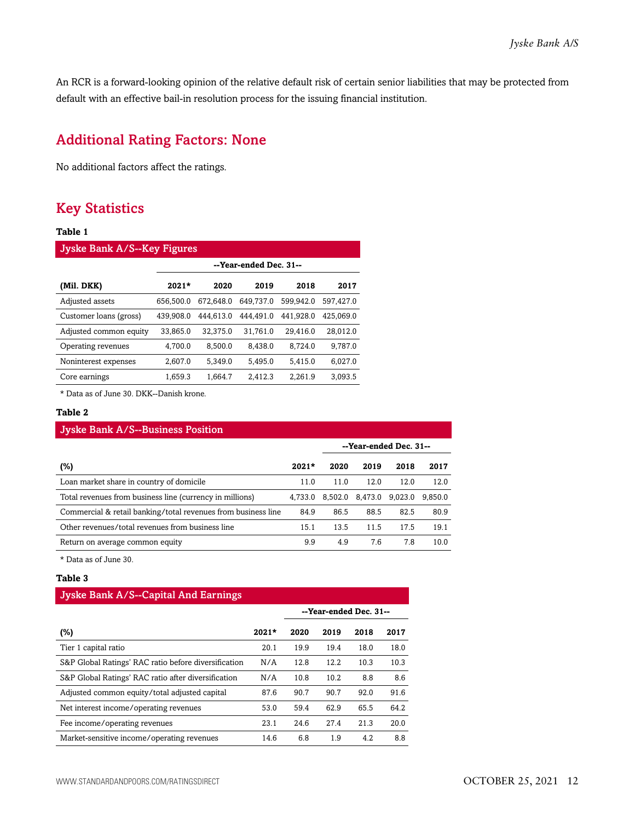An RCR is a forward-looking opinion of the relative default risk of certain senior liabilities that may be protected from default with an effective bail-in resolution process for the issuing financial institution.

## <span id="page-11-0"></span>Additional Rating Factors: None

<span id="page-11-1"></span>No additional factors affect the ratings.

## Key Statistics

#### **Table 1**

| <b>Jyske Bank A/S--Key Figures</b> |           |                        |           |           |           |  |  |  |  |
|------------------------------------|-----------|------------------------|-----------|-----------|-----------|--|--|--|--|
|                                    |           | --Year-ended Dec. 31-- |           |           |           |  |  |  |  |
| (Mil. DKK)                         | $2021*$   | 2020                   | 2019      | 2018      | 2017      |  |  |  |  |
| Adjusted assets                    | 656,500.0 | 672.648.0              | 649.737.0 | 599.942.0 | 597.427.0 |  |  |  |  |
| Customer loans (gross)             | 439,908.0 | 444.613.0              | 444.491.0 | 441.928.0 | 425.069.0 |  |  |  |  |
| Adjusted common equity             | 33.865.0  | 32.375.0               | 31.761.0  | 29.416.0  | 28,012.0  |  |  |  |  |
| Operating revenues                 | 4.700.0   | 8.500.0                | 8.438.0   | 8.724.0   | 9.787.0   |  |  |  |  |
| Noninterest expenses               | 2.607.0   | 5,349.0                | 5.495.0   | 5.415.0   | 6.027.0   |  |  |  |  |
| Core earnings                      | 1,659.3   | 1,664.7                | 2,412.3   | 2.261.9   | 3,093.5   |  |  |  |  |

\* Data as of June 30. DKK--Danish krone.

#### **Table 2**

| Jyske Bank A/S--Business Position                             |         |         |                        |         |         |  |  |  |
|---------------------------------------------------------------|---------|---------|------------------------|---------|---------|--|--|--|
|                                                               |         |         | --Year-ended Dec. 31-- |         |         |  |  |  |
| (%)                                                           | $2021*$ | 2020    | 2019                   | 2018    | 2017    |  |  |  |
| Loan market share in country of domicile                      | 11.0    | 11.0    | 12.0                   | 12.0    | 12.0    |  |  |  |
| Total revenues from business line (currency in millions)      | 4.733.0 | 8.502.0 | 8,473.0                | 9.023.0 | 9.850.0 |  |  |  |
| Commercial & retail banking/total revenues from business line | 84.9    | 86.5    | 88.5                   | 82.5    | 80.9    |  |  |  |
| Other revenues/total revenues from business line              | 15.1    | 13.5    | 11.5                   | 17.5    | 19.1    |  |  |  |
| Return on average common equity                               | 9.9     | 4.9     | 7.6                    | 7.8     | 10.0    |  |  |  |

\* Data as of June 30.

#### **Table 3**

| <b>Jyske Bank A/S--Capital And Earnings</b>          |         |      |                        |      |      |  |  |  |
|------------------------------------------------------|---------|------|------------------------|------|------|--|--|--|
|                                                      |         |      | --Year-ended Dec. 31-- |      |      |  |  |  |
| $(\%)$                                               | $2021*$ | 2020 | 2019                   | 2018 | 2017 |  |  |  |
| Tier 1 capital ratio                                 | 20.1    | 19.9 | 19.4                   | 18.0 | 18.0 |  |  |  |
| S&P Global Ratings' RAC ratio before diversification | N/A     | 12.8 | 12.2                   | 10.3 | 10.3 |  |  |  |
| S&P Global Ratings' RAC ratio after diversification  | N/A     | 10.8 | 10.2                   | 8.8  | 8.6  |  |  |  |
| Adjusted common equity/total adjusted capital        | 87.6    | 90.7 | 90.7                   | 92.0 | 91.6 |  |  |  |
| Net interest income/operating revenues               | 53.0    | 59.4 | 62.9                   | 65.5 | 64.2 |  |  |  |
| Fee income/operating revenues                        | 23.1    | 24.6 | 27.4                   | 21.3 | 20.0 |  |  |  |
| Market-sensitive income/operating revenues           | 14.6    | 6.8  | 1.9                    | 4.2  | 8.8  |  |  |  |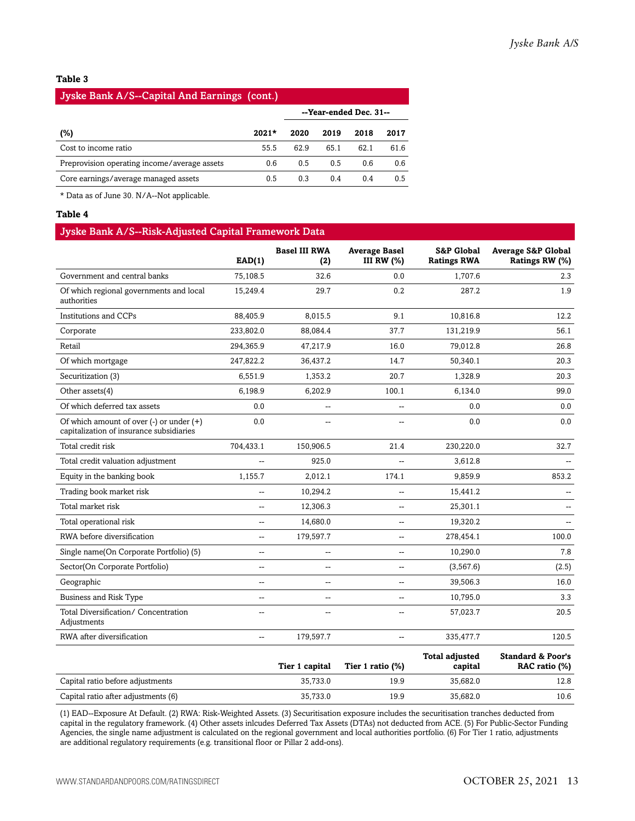#### **Table 3**

| Jyske Bank A/S--Capital And Earnings (cont.) |         |      |                |                        |      |  |  |  |
|----------------------------------------------|---------|------|----------------|------------------------|------|--|--|--|
|                                              |         |      |                | --Year-ended Dec. 31-- |      |  |  |  |
| (%)                                          | $2021*$ | 2020 | 2019           | 2018                   | 2017 |  |  |  |
| Cost to income ratio                         | 55.5    | 62.9 | 65.1           | 62.1                   | 61.6 |  |  |  |
| Preprovision operating income/average assets | 0.6     | 0.5  | 0.5            | 0.6                    | 0.6  |  |  |  |
| Core earnings/average managed assets         | 0.5     | 0.3  | 0 <sup>4</sup> | 0.4                    | 0.5  |  |  |  |

\* Data as of June 30. N/A--Not applicable.

#### **Table 4**

#### Jyske Bank A/S--Risk-Adjusted Capital Framework Data

|                                                                                          | EAD(1)                   | <b>Basel III RWA</b><br>(2) | <b>Average Basel</b><br>III RW $(%)$ | <b>S&amp;P Global</b><br><b>Ratings RWA</b> | <b>Average S&amp;P Global</b><br>Ratings RW (%) |
|------------------------------------------------------------------------------------------|--------------------------|-----------------------------|--------------------------------------|---------------------------------------------|-------------------------------------------------|
| Government and central banks                                                             | 75,108.5                 | 32.6                        | 0.0                                  | 1,707.6                                     | 2.3                                             |
| Of which regional governments and local<br>authorities                                   | 15,249.4                 | 29.7                        | 0.2                                  | 287.2                                       | 1.9                                             |
| <b>Institutions and CCPs</b>                                                             | 88,405.9                 | 8,015.5                     | 9.1                                  | 10,816.8                                    | 12.2                                            |
| Corporate                                                                                | 233,802.0                | 88,084.4                    | 37.7                                 | 131,219.9                                   | 56.1                                            |
| Retail                                                                                   | 294,365.9                | 47,217.9                    | 16.0                                 | 79,012.8                                    | 26.8                                            |
| Of which mortgage                                                                        | 247,822.2                | 36,437.2                    | 14.7                                 | 50,340.1                                    | 20.3                                            |
| Securitization (3)                                                                       | 6,551.9                  | 1,353.2                     | 20.7                                 | 1,328.9                                     | 20.3                                            |
| Other assets(4)                                                                          | 6,198.9                  | 6,202.9                     | 100.1                                | 6,134.0                                     | 99.0                                            |
| Of which deferred tax assets                                                             | 0.0                      | --                          | $\overline{a}$                       | 0.0                                         | 0.0                                             |
| Of which amount of over $(-)$ or under $(+)$<br>capitalization of insurance subsidiaries | 0.0                      | $\overline{a}$              |                                      | 0.0                                         | 0.0                                             |
| Total credit risk                                                                        | 704,433.1                | 150,906.5                   | 21.4                                 | 230,220.0                                   | 32.7                                            |
| Total credit valuation adjustment                                                        | $\sim$                   | 925.0                       |                                      | 3,612.8                                     |                                                 |
| Equity in the banking book                                                               | 1,155.7                  | 2,012.1                     | 174.1                                | 9,859.9                                     | 853.2                                           |
| Trading book market risk                                                                 | $\sim$                   | 10,294.2                    |                                      | 15,441.2                                    |                                                 |
| Total market risk                                                                        | --                       | 12,306.3                    | --                                   | 25,301.1                                    |                                                 |
| Total operational risk                                                                   | --                       | 14,680.0                    | $\overline{a}$                       | 19,320.2                                    |                                                 |
| RWA before diversification                                                               | $\overline{\phantom{a}}$ | 179,597.7                   | --                                   | 278,454.1                                   | 100.0                                           |
| Single name(On Corporate Portfolio) (5)                                                  | $\overline{\phantom{a}}$ | --                          | $\overline{a}$                       | 10,290.0                                    | 7.8                                             |
| Sector(On Corporate Portfolio)                                                           | Ξ.                       | Щ,                          | $\overline{a}$                       | (3, 567.6)                                  | (2.5)                                           |
| Geographic                                                                               | $\overline{a}$           | $-$                         |                                      | 39,506.3                                    | 16.0                                            |
| <b>Business and Risk Type</b>                                                            | Щ,                       | $\overline{a}$              | $\overline{a}$                       | 10,795.0                                    | 3.3                                             |
| Total Diversification/ Concentration<br>Adjustments                                      | $\overline{a}$           | $\overline{a}$              | $-$                                  | 57,023.7                                    | 20.5                                            |
| RWA after diversification                                                                | $\overline{\phantom{a}}$ | 179,597.7                   | --                                   | 335,477.7                                   | 120.5                                           |
|                                                                                          |                          | Tier 1 capital              | Tier 1 ratio (%)                     | <b>Total adjusted</b><br>capital            | <b>Standard &amp; Poor's</b><br>RAC ratio (%)   |
| Capital ratio before adjustments                                                         |                          | 35,733.0                    | 19.9                                 | 35,682.0                                    | 12.8                                            |
| Capital ratio after adjustments (6)                                                      |                          | 35,733.0                    | 19.9                                 | 35,682.0                                    | 10.6                                            |

(1) EAD--Exposure At Default. (2) RWA: Risk-Weighted Assets. (3) Securitisation exposure includes the securitisation tranches deducted from capital in the regulatory framework. (4) Other assets inlcudes Deferred Tax Assets (DTAs) not deducted from ACE. (5) For Public-Sector Funding Agencies, the single name adjustment is calculated on the regional government and local authorities portfolio. (6) For Tier 1 ratio, adjustments are additional regulatory requirements (e.g. transitional floor or Pillar 2 add-ons).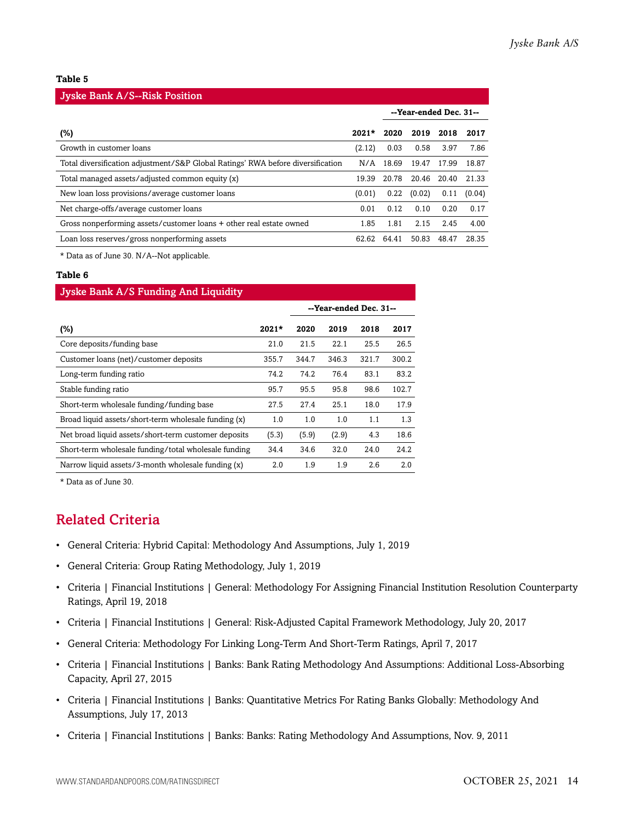#### **Table 5**

#### Jyske Bank A/S--Risk Position

|                                                                                 |         |       | --Year-ended Dec. 31-- |       |        |
|---------------------------------------------------------------------------------|---------|-------|------------------------|-------|--------|
| $(\%)$                                                                          | $2021*$ | 2020  | 2019                   | 2018  | 2017   |
| Growth in customer loans                                                        | (2.12)  | 0.03  | 0.58                   | 3.97  | 7.86   |
| Total diversification adjustment/S&P Global Ratings' RWA before diversification | N/A     | 18.69 | 19.47                  | 17.99 | 18.87  |
| Total managed assets/adjusted common equity (x)                                 | 19.39   | 20.78 | 20.46                  | 20.40 | 21.33  |
| New loan loss provisions/average customer loans                                 | (0.01)  | 0.22  | (0.02)                 | 0.11  | (0.04) |
| Net charge-offs/average customer loans                                          | 0.01    | 0.12  | 0.10                   | 0.20  | 0.17   |
| Gross nonperforming assets/customer loans + other real estate owned             | 1.85    | 1.81  | 2.15                   | 2.45  | 4.00   |
| Loan loss reserves/gross nonperforming assets                                   | 62.62   | 64.41 | 50.83                  | 48.47 | 28.35  |

\* Data as of June 30. N/A--Not applicable.

#### **Table 6**

#### Jyske Bank A/S Funding And Liquidity

|                                                      |         |       | --Year-ended Dec. 31-- |       |       |
|------------------------------------------------------|---------|-------|------------------------|-------|-------|
| $(\%)$                                               | $2021*$ | 2020  | 2019                   | 2018  | 2017  |
| Core deposits/funding base                           | 21.0    | 21.5  | 22.1                   | 25.5  | 26.5  |
| Customer loans (net)/customer deposits               | 355.7   | 344.7 | 346.3                  | 321.7 | 300.2 |
| Long-term funding ratio                              | 74.2    | 74.2  | 76.4                   | 83.1  | 83.2  |
| Stable funding ratio                                 | 95.7    | 95.5  | 95.8                   | 98.6  | 102.7 |
| Short-term wholesale funding/funding base            | 27.5    | 27.4  | 25.1                   | 18.0  | 17.9  |
| Broad liquid assets/short-term wholesale funding (x) | 1.0     | 1.0   | 1.0                    | 1.1   | 1.3   |
| Net broad liquid assets/short-term customer deposits | (5.3)   | (5.9) | (2.9)                  | 4.3   | 18.6  |
| Short-term wholesale funding/total wholesale funding | 34.4    | 34.6  | 32.0                   | 24.0  | 24.2  |
| Narrow liquid assets/3-month wholesale funding (x)   | 2.0     | 1.9   | 1.9                    | 2.6   | 2.0   |
|                                                      |         |       |                        |       |       |

<span id="page-13-0"></span>\* Data as of June 30.

## Related Criteria

- General Criteria: Hybrid Capital: Methodology And Assumptions, July 1, 2019
- General Criteria: Group Rating Methodology, July 1, 2019
- Criteria | Financial Institutions | General: Methodology For Assigning Financial Institution Resolution Counterparty Ratings, April 19, 2018
- Criteria | Financial Institutions | General: Risk-Adjusted Capital Framework Methodology, July 20, 2017
- General Criteria: Methodology For Linking Long-Term And Short-Term Ratings, April 7, 2017
- Criteria | Financial Institutions | Banks: Bank Rating Methodology And Assumptions: Additional Loss-Absorbing Capacity, April 27, 2015
- Criteria | Financial Institutions | Banks: Quantitative Metrics For Rating Banks Globally: Methodology And Assumptions, July 17, 2013
- Criteria | Financial Institutions | Banks: Banks: Rating Methodology And Assumptions, Nov. 9, 2011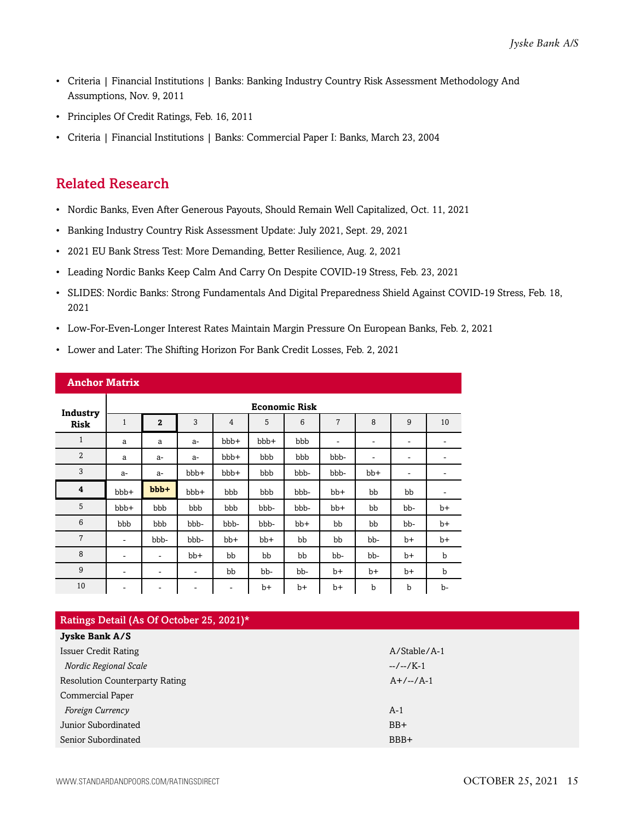- Criteria | Financial Institutions | Banks: Banking Industry Country Risk Assessment Methodology And Assumptions, Nov. 9, 2011
- Principles Of Credit Ratings, Feb. 16, 2011
- Criteria | Financial Institutions | Banks: Commercial Paper I: Banks, March 23, 2004

## <span id="page-14-0"></span>Related Research

- Nordic Banks, Even After Generous Payouts, Should Remain Well Capitalized, Oct. 11, 2021
- Banking Industry Country Risk Assessment Update: July 2021, Sept. 29, 2021
- 2021 EU Bank Stress Test: More Demanding, Better Resilience, Aug. 2, 2021
- Leading Nordic Banks Keep Calm And Carry On Despite COVID-19 Stress, Feb. 23, 2021
- SLIDES: Nordic Banks: Strong Fundamentals And Digital Preparedness Shield Against COVID-19 Stress, Feb. 18, 2021
- Low-For-Even-Longer Interest Rates Maintain Margin Pressure On European Banks, Feb. 2, 2021
- Lower and Later: The Shifting Horizon For Bank Credit Losses, Feb. 2, 2021

| <b>Anchor Matrix</b> |                              |                      |      |                |       |      |                          |                          |      |                          |
|----------------------|------------------------------|----------------------|------|----------------|-------|------|--------------------------|--------------------------|------|--------------------------|
| Industry             |                              | <b>Economic Risk</b> |      |                |       |      |                          |                          |      |                          |
| <b>Risk</b>          | $\mathbf{1}$                 | $\overline{2}$       | 3    | $\overline{4}$ | 5     | 6    | 7                        | 8                        | 9    | 10                       |
| $\mathbf{1}$         | a                            | a                    | $a-$ | bbb+           | bbb+  | bbb  | $\overline{\phantom{a}}$ | $\overline{\phantom{a}}$ | ۰    | -                        |
| $\overline{2}$       | a                            | $a-$                 | $a-$ | bbb+           | bbb   | bbb  | bbb-                     | $\overline{\phantom{a}}$ | ۰    | -                        |
| $\mathbf{3}$         | $a-$                         | $a-$                 | bbb+ | bbb+           | bbb   | bbb- | bbb-                     | $bb+$                    | ۰    | -                        |
| 4                    | bbb+                         | $bbb +$              | bbb+ | bbb            | bbb   | bbb- | $bb+$                    | bb                       | bb   | $\overline{\phantom{a}}$ |
| 5                    | bbb+                         | bbb                  | bbb  | bbb            | bbb-  | bbb- | $bb+$                    | bb                       | bb-  | $b+$                     |
| 6                    | bbb                          | bbb                  | bbb- | bbb-           | bbb-  | bb+  | bb                       | bb                       | bb-  | $b+$                     |
| $\overline{7}$       | $\overline{\phantom{a}}$     | bbb-                 | bbb- | $bb+$          | $bb+$ | bb   | bb                       | bb-                      | $b+$ | $b+$                     |
| 8                    | ۰                            | ۰                    | bb+  | bb             | bb    | bb   | bb-                      | bb-                      | $b+$ | $\mathbf b$              |
| 9                    | ۰                            | ۰                    | ۰    | bb             | bb-   | bb-  | $b+$                     | $b+$                     | $b+$ | $\mathbf b$              |
| 10                   | $\qquad \qquad \blacksquare$ |                      | ۰    | ۰              | $b+$  | $b+$ | $b+$                     | b                        | b    | b-                       |

| Ratings Detail (As Of October 25, 2021)* |              |  |  |  |  |  |
|------------------------------------------|--------------|--|--|--|--|--|
| Jyske Bank A/S                           |              |  |  |  |  |  |
| <b>Issuer Credit Rating</b>              | A/Stable/A-1 |  |  |  |  |  |
| Nordic Regional Scale                    | $-/-/K-1$    |  |  |  |  |  |
| <b>Resolution Counterparty Rating</b>    | $A+/-/-/A-1$ |  |  |  |  |  |
| Commercial Paper                         |              |  |  |  |  |  |
| <b>Foreign Currency</b>                  | $A-1$        |  |  |  |  |  |
| Junior Subordinated                      | $BB+$        |  |  |  |  |  |
| Senior Subordinated                      | BBB+         |  |  |  |  |  |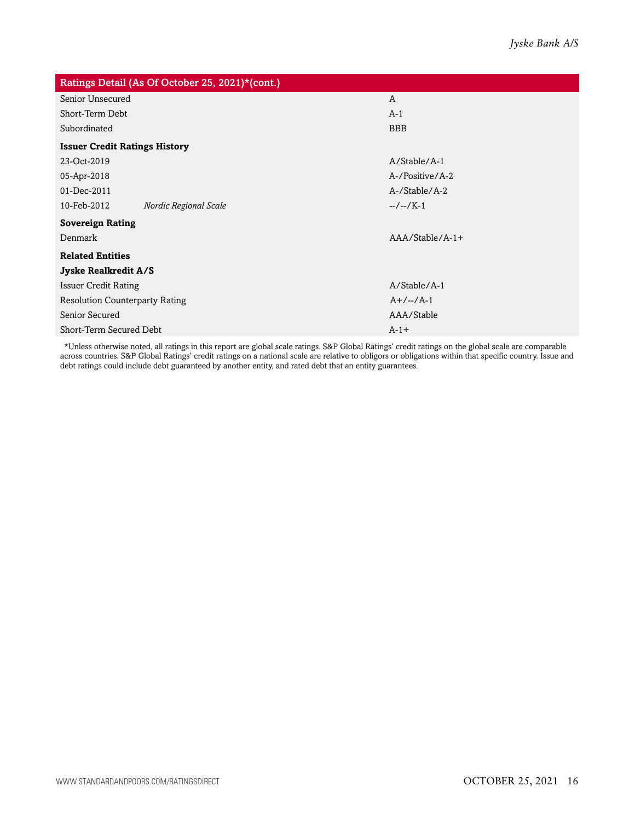| Ratings Detail (As Of October 25, 2021)*(cont.) |                       |                   |  |  |  |  |
|-------------------------------------------------|-----------------------|-------------------|--|--|--|--|
| Senior Unsecured                                |                       | $\mathsf{A}$      |  |  |  |  |
| Short-Term Debt                                 |                       | $A-1$             |  |  |  |  |
| Subordinated                                    |                       | <b>BBB</b>        |  |  |  |  |
| <b>Issuer Credit Ratings History</b>            |                       |                   |  |  |  |  |
| 23-Oct-2019                                     |                       | A/Stable/A-1      |  |  |  |  |
| 05-Apr-2018                                     |                       | A-/Positive/A-2   |  |  |  |  |
| 01-Dec-2011                                     |                       | A-/Stable/A-2     |  |  |  |  |
| 10-Feb-2012                                     | Nordic Regional Scale | $-/-/K-1$         |  |  |  |  |
| <b>Sovereign Rating</b>                         |                       |                   |  |  |  |  |
| Denmark                                         |                       | $AAA/Stable/A-1+$ |  |  |  |  |
| <b>Related Entities</b>                         |                       |                   |  |  |  |  |
| Jyske Realkredit A/S                            |                       |                   |  |  |  |  |
| <b>Issuer Credit Rating</b>                     |                       | A/Stable/A-1      |  |  |  |  |
| <b>Resolution Counterparty Rating</b>           |                       | $A+/-/-/A-1$      |  |  |  |  |
| Senior Secured                                  |                       | AAA/Stable        |  |  |  |  |
| Short-Term Secured Debt                         |                       | $A-1+$            |  |  |  |  |

\*Unless otherwise noted, all ratings in this report are global scale ratings. S&P Global Ratings' credit ratings on the global scale are comparable across countries. S&P Global Ratings' credit ratings on a national scale are relative to obligors or obligations within that specific country. Issue and debt ratings could include debt guaranteed by another entity, and rated debt that an entity guarantees.